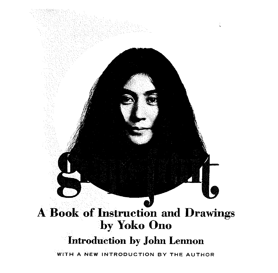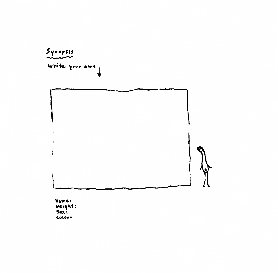

**Name:**<br>Weight : **Su,**  Colour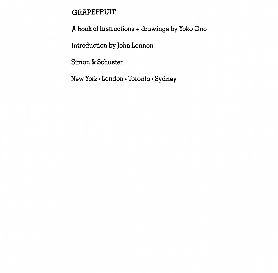# GRAPEFRUIT

A book of instructions + drawings by Yoko Ono

Introduction by John Lennon

Simon & Schuster

New York• London • Toronto • Sydney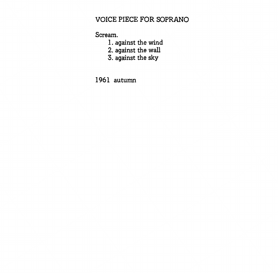## VOICE PIECE FOR SOPRANO

Scream.

- 1. against the wind
- 2. against the wall
- 3. against the sky

1961 autumn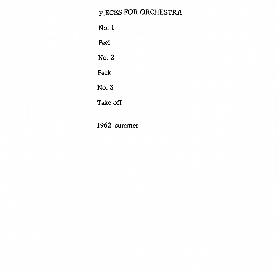# PIECES FOR ORCHESTRA

No. I Peel No. 2 Peek No.3 Take off

1962 summer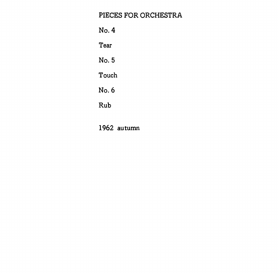# PIECES FOR ORCHESTRA

No.4 Tear No. 5 Touch No.6 Rub

1962 autumn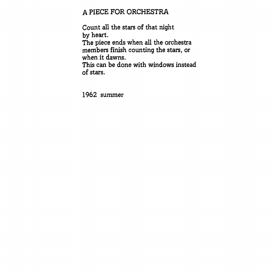## A PIECE FOR ORCHESTRA

Count all the stars of that night by heart.

The piece ends when all the orchestra members finish counting the stars, or when it dawns.

This can be done with windows instead of stars.

1962 summer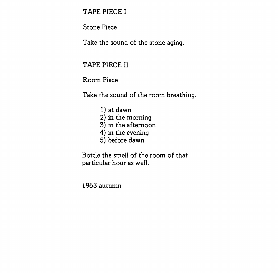TAPE PIECE I

Stone Piece

Take the sound of the stone aging.

TAPE PIECE II

Room Piece

Take the sound of the room breathing.

1) at dawn 2) in the morning 3) in the afternoon 4) in the evening 5) before dawn

Bottle the smell of the room of that particular hour as well.

1963 autumn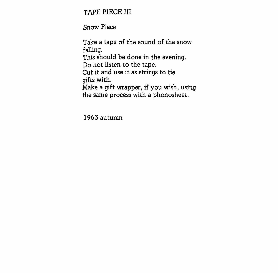TAPE PIECE III

Snow Piece

Take a tape of the sound of the snow falling. This should be done in the evening. Do not listen to the tape. Cut it and use it as strings to tie gifts with. Make a gift wrapper, if you wish, using the same process with a phonosheet.

1963 autumn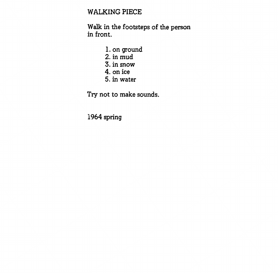## WALKING PIECE

Walk in the footsteps of the person in front.

- 1. on ground 2. in mud
- 3. in snow
- 4. on ice
- 5. in water

Try not to make sounds.

1964 spring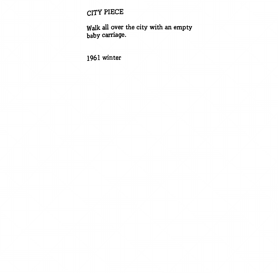CITY PIECE

Walk all over the city with an empty baby carriage.

1961 winter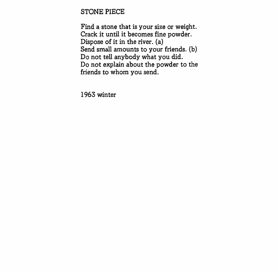### STONE PIECE

Find a stone that is your size or weight. Crack it until it becomes fine powder. Dispose of it in the river. (a) Send small amounts to your friends. (b) Do not tell anybody what you did. Do not explain about the powder to the friends to whom you send.

1963 winter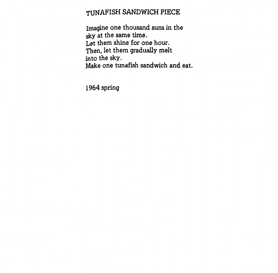# TUNAFISH SANDWICH PIECE

Imagine one thousand suns in the sky at the same time. Let them shine for one hour. Then, let them gradually melt in to the sky. Make one tunafish sandwich and eat.

1964 spring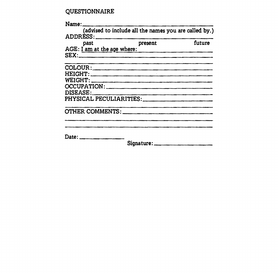### QUESTIONNAIRE

|                             | (advised to include all the names you are called by.) |        |
|-----------------------------|-------------------------------------------------------|--------|
| past                        | present                                               | future |
| AGE: I am at the age where: |                                                       |        |
|                             |                                                       |        |
| COLOUR:                     |                                                       |        |
|                             |                                                       |        |
|                             |                                                       |        |
| OCCUPATION:                 |                                                       |        |
| DISEASE:                    |                                                       |        |
| PHYSICAL PECULIARITIES:     |                                                       |        |
| OTHER COMMENTS:             |                                                       |        |
|                             |                                                       |        |
| Date: _________________     | Signature:                                            |        |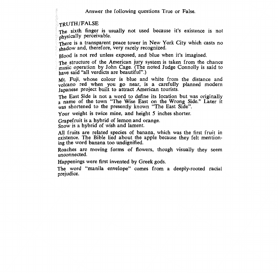Answer the following questions True or False.

#### TRUTH/FALSE

The sixth finger is usually not used because it's existence is not physically perceivable.

There is a transparent peace tower in New York City which casts no shadow and, therefore, very rarely recognized.

Blood is not red unless exposed, and blue when it's imagined.

The structure of the American jury system is taken from the chance music operation by John Cage. (The noted Judge Connolly is said to have said "all verdicts are beautiful".)

Mt. Fuji, whose colour is blue and white from the distance and volcano red when you go near, is a carefully planned modern Japanese project built to attract American tourists.

The East Side is not a word to define its location but was originally a name of the town "The Wise East on the Wrong Side." Later it was shortened to the presently known "The East Side".

Your weight is twice mine, and height *5* inches shorter.

Grapefruit is a hybrid of lemon and orange. Snow is a hybrid of wish and lament.

All fruits are related species of banana, which was the first fruit in existence. The Bible lied about the apple because they felt mentioning the word banana too undignified.

Roaches are moving forms of flowers, though visually they seem unconnected.

Happenings were first invented by Greek gods.

The word "manila envelope" comes from a deeply-rooted racial prejudice.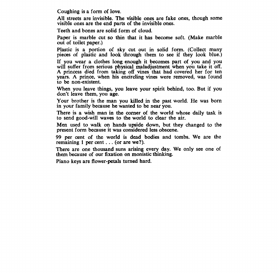Coughing is a form of love.

All streets are invisible. The visible ones are fake ones, though some visible ones are the end parts of the invisible ones.

Teeth and bones are solid form of cloud.

Paper is marble cut so thin that it has become soft. (Make marble out of toilet paper.)

Plastic is a portion of sky cut out in solid form. (Collect many pieces of plastic and look through them to see if they look blue.)

If you wear a clothes long enough it becomes part of you and you will suffer from serious physical maladjustment when you take it off. A princess died from taking off vines that had covered her for ten years. A prince, when his encircling vines were removed, was found to be non-existent.

When you leave things, you leave your spirit behind, too. But if you don't leave them, you age.

Your brother is the man you killed in the past world. He was born in your family because he wanted to be near you.

There is a wish man in the corner of the world whose daily task is to send good-will waves to the world to clear the air.

Men used to walk on hands upside down, but they changed to the present form because it was considered less obscene.

99 per cent of the world is dead bodies and tombs. We are the remaining 1 per cent ... (or are we?).

There are one thousand suns arising every day. We only see one of them because of our fixation on monistic thinking.

Piano keys are flower-petals turned hard.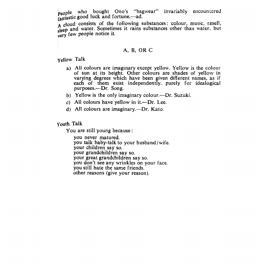people who bought Ono's "bagwear" invariably encountered fantastic good luck and fortune.-- ad.

A cloud consists of the following substances: colour, music, emell, sleep and water. Sometimes it rains substances other than water. but very few people notice it.

#### A, B, OR C

Yellow Talk

- a) All colours are imaginary except yellow. Yellow is the colour of sun at its height. Other colours are shades of yellow in varying degrees which have been given different names, as if each of them exist independently. purely for idealogical purposes.---Dr. Song.
- b) Yellow is the only imaginary colour.—Dr. Suzuki.
- c) All colours have yellow in  $it$ -Dr. Lee.
- d) All colours are imaginary.—Dr. Kato.

Youth Talk

You are still young because :

you never matured. you talk baby-talk to your husband/wife.<br>your children say so. your grandchildren say so.<br>your great grandchildren say so.<br>you don't see any wrinkles on your face. you still hate the same friends. other reasons (give your reason).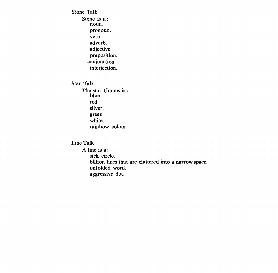Stone Talk Stone is a: noun. pronoun. verb. adverb. adjective. preposition. conjunction. interjection. Star Talk The star Uranus is: blue. red. silver. green. white.

rainbow colour.

#### Line Talk

A line is a: sick circle. billion lines that are cluttered into a narrow space. unfolded word. aggressive dot.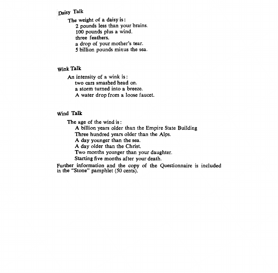### Daisy Talk

The weight of a daisy is : 2 pounds less than your brains. 100 pounds plus a wind. three feathers. a drop of your mother's tear. *5* billion pounds minus the sea.

### **Wink Talk**

An intensity of a wink is : two cars smashed head on. a storm turned into a breeze. **A** water drop from a loose faucet.

#### **Wind Talk**

The age of the wind is :

**A** billion years older than the Empire State Building

Three hundred years older than the Alps.

A day younger than the sea.

A day older than the Christ.

Two months younger than your daughter.

Starting five months after your death.

Further information and the copy of the Questionnaire is included in the "Stone" pamphlet (50 cents).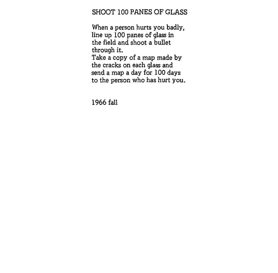## SHOOT 100 PANES OF GLASS

When a person hurts you badly, line up 100 panes of glass in the field and shoot a bullet through it. Take a copy of a map made by the cracks on each glass and send a map a day for 100 days to the person who has hurt you.

1966 fall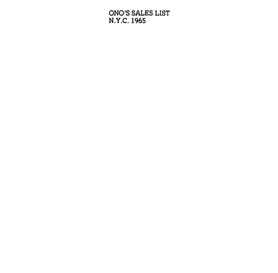ONO'S SALES LIST **N.Y.C.** 1965